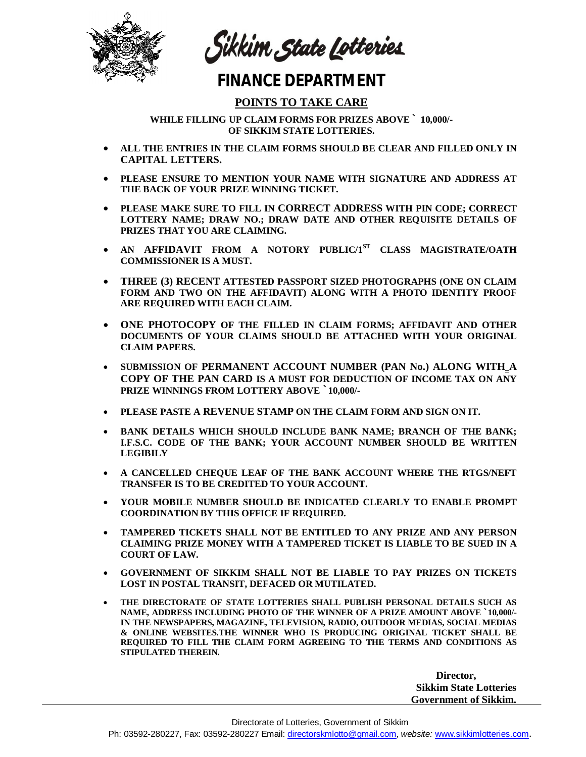

Sikkim State Lotteries

## **FINANCE DEPARTMENT**

## **POINTS TO TAKE CARE**

**WHILE FILLING UP CLAIM FORMS FOR PRIZES ABOVE ` 10,000/- OF SIKKIM STATE LOTTERIES.**

- **ALL THE ENTRIES IN THE CLAIM FORMS SHOULD BE CLEAR AND FILLED ONLY IN CAPITAL LETTERS.**
- **PLEASE ENSURE TO MENTION YOUR NAME WITH SIGNATURE AND ADDRESS AT THE BACK OF YOUR PRIZE WINNING TICKET.**
- **PLEASE MAKE SURE TO FILL IN CORRECT ADDRESS WITH PIN CODE; CORRECT LOTTERY NAME; DRAW NO.; DRAW DATE AND OTHER REQUISITE DETAILS OF PRIZES THAT YOU ARE CLAIMING.**
- **AN AFFIDAVIT FROM A NOTORY PUBLIC/1ST CLASS MAGISTRATE/OATH COMMISSIONER IS A MUST.**
- **THREE (3) RECENT ATTESTED PASSPORT SIZED PHOTOGRAPHS (ONE ON CLAIM FORM AND TWO ON THE AFFIDAVIT) ALONG WITH A PHOTO IDENTITY PROOF ARE REQUIRED WITH EACH CLAIM.**
- **ONE PHOTOCOPY OF THE FILLED IN CLAIM FORMS; AFFIDAVIT AND OTHER DOCUMENTS OF YOUR CLAIMS SHOULD BE ATTACHED WITH YOUR ORIGINAL CLAIM PAPERS.**
- **SUBMISSION OF PERMANENT ACCOUNT NUMBER (PAN No.) ALONG WITH A COPY OF THE PAN CARD IS A MUST FOR DEDUCTION OF INCOME TAX ON ANY PRIZE WINNINGS FROM LOTTERY ABOVE `10,000/-**
- **PLEASE PASTE A REVENUE STAMP ON THE CLAIM FORM AND SIGN ON IT.**
- **BANK DETAILS WHICH SHOULD INCLUDE BANK NAME; BRANCH OF THE BANK; I.F.S.C. CODE OF THE BANK; YOUR ACCOUNT NUMBER SHOULD BE WRITTEN LEGIBILY**
- **A CANCELLED CHEQUE LEAF OF THE BANK ACCOUNT WHERE THE RTGS/NEFT TRANSFER IS TO BE CREDITED TO YOUR ACCOUNT.**
- **YOUR MOBILE NUMBER SHOULD BE INDICATED CLEARLY TO ENABLE PROMPT COORDINATION BY THIS OFFICE IF REQUIRED.**
- **TAMPERED TICKETS SHALL NOT BE ENTITLED TO ANY PRIZE AND ANY PERSON CLAIMING PRIZE MONEY WITH A TAMPERED TICKET IS LIABLE TO BE SUED IN A COURT OF LAW.**
- **GOVERNMENT OF SIKKIM SHALL NOT BE LIABLE TO PAY PRIZES ON TICKETS LOST IN POSTAL TRANSIT, DEFACED OR MUTILATED.**
- **THE DIRECTORATE OF STATE LOTTERIES SHALL PUBLISH PERSONAL DETAILS SUCH AS NAME, ADDRESS INCLUDING PHOTO OF THE WINNER OF A PRIZE AMOUNT ABOVE `10,000/- IN THE NEWSPAPERS, MAGAZINE, TELEVISION, RADIO, OUTDOOR MEDIAS, SOCIAL MEDIAS & ONLINE WEBSITES.THE WINNER WHO IS PRODUCING ORIGINAL TICKET SHALL BE REQUIRED TO FILL THE CLAIM FORM AGREEING TO THE TERMS AND CONDITIONS AS STIPULATED THEREIN.**

**Director, Sikkim State Lotteries Government of Sikkim.**